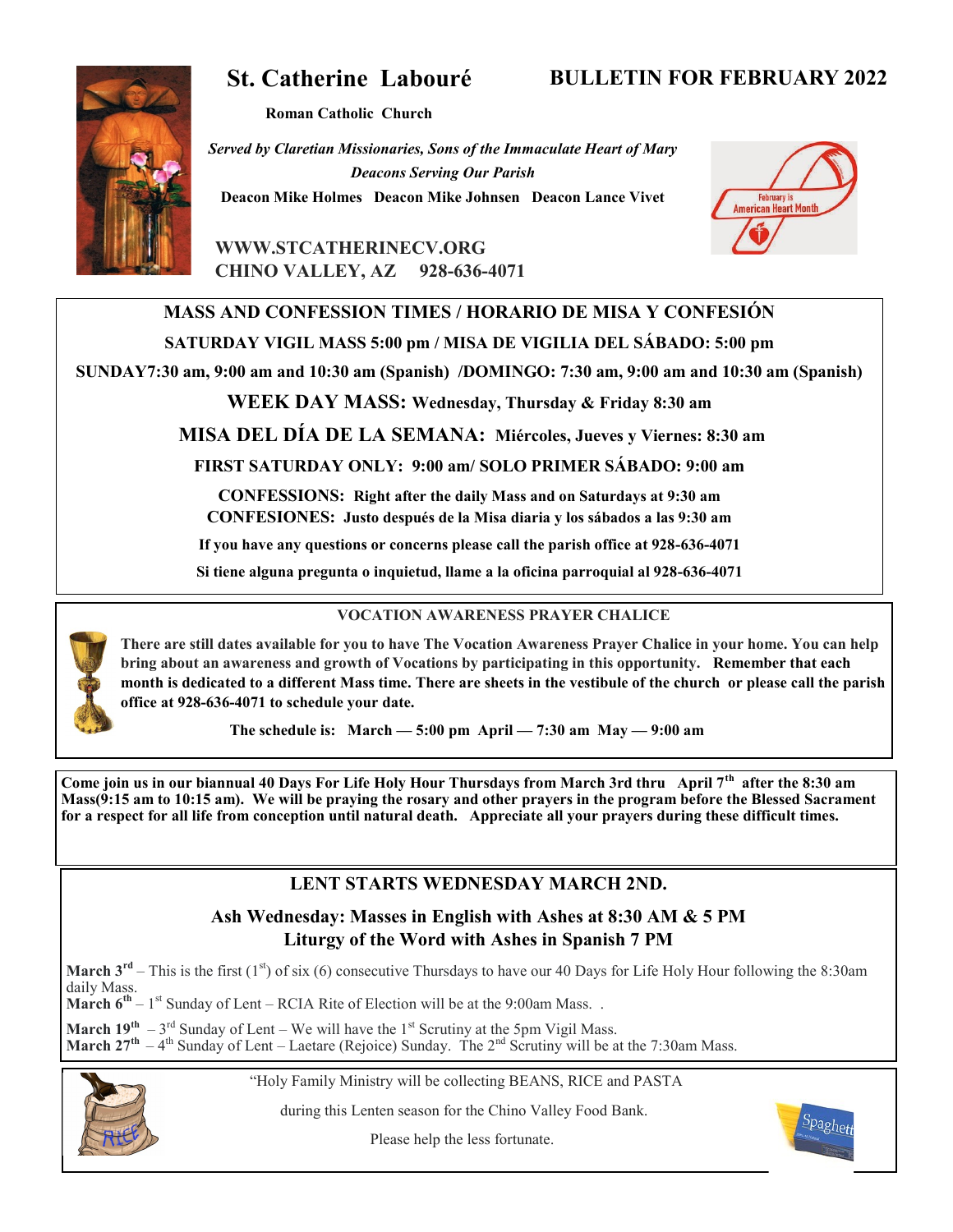# **St. Catherine Labouré**

**BULLETIN FOR FEBRUARY 2022**

**Roman Catholic Church**

*Served by Claretian Missionaries, Sons of the Immaculate Heart of Mary Deacons Serving Our Parish* **Deacon Mike Holmes Deacon Mike Johnsen Deacon Lance Vivet**



**WWW.STCATHERINECV.ORG CHINO VALLEY, AZ 928-636-4071**

# **MASS AND CONFESSION TIMES / HORARIO DE MISA Y CONFESIÓN**

**SATURDAY VIGIL MASS 5:00 pm / MISA DE VIGILIA DEL SÁBADO: 5:00 pm**

**SUNDAY7:30 am, 9:00 am and 10:30 am (Spanish) /DOMINGO: 7:30 am, 9:00 am and 10:30 am (Spanish)** 

**WEEK DAY MASS: Wednesday, Thursday & Friday 8:30 am**

**MISA DEL DÍA DE LA SEMANA: Miércoles, Jueves y Viernes: 8:30 am**

**FIRST SATURDAY ONLY: 9:00 am/ SOLO PRIMER SÁBADO: 9:00 am**

**CONFESSIONS: Right after the daily Mass and on Saturdays at 9:30 am CONFESIONES: Justo después de la Misa diaria y los sábados a las 9:30 am**

**If you have any questions or concerns please call the parish office at 928-636-4071**

**Si tiene alguna pregunta o inquietud, llame a la oficina parroquial al 928-636-4071**



## **VOCATION AWARENESS PRAYER CHALICE**

**There are still dates available for you to have The Vocation Awareness Prayer Chalice in your home. You can help bring about an awareness and growth of Vocations by participating in this opportunity. Remember that each month is dedicated to a different Mass time. There are sheets in the vestibule of the church or please call the parish office at 928-636-4071 to schedule your date.**

**The schedule is: March — 5:00 pm April — 7:30 am May — 9:00 am**

**Come join us in our biannual 40 Days For Life Holy Hour Thursdays from March 3rd thru April 7th after the 8:30 am Mass(9:15 am to 10:15 am). We will be praying the rosary and other prayers in the program before the Blessed Sacrament for a respect for all life from conception until natural death. Appreciate all your prayers during these difficult times.**

# **LENT STARTS WEDNESDAY MARCH 2ND.**

# **Ash Wednesday: Masses in English with Ashes at 8:30 AM & 5 PM Liturgy of the Word with Ashes in Spanish 7 PM**

**March**  $3^{rd}$  – This is the first (1<sup>st</sup>) of six (6) consecutive Thursdays to have our 40 Days for Life Holy Hour following the 8:30am daily Mass.

**March 6<sup>th</sup>** – 1<sup>st</sup> Sunday of Lent – RCIA Rite of Election will be at the 9:00am Mass. .

**March 19<sup>th</sup>**  $-3^{rd}$  Sunday of Lent – We will have the 1<sup>st</sup> Scrutiny at the 5pm Vigil Mass. **March**  $27^{th}$  –  $4^{th}$  Sunday of Lent – Laetare (Rejoice) Sunday. The  $2^{nd}$  Scrutiny will be at the 7:30am Mass.



during this Lenten season for the Chino Valley Food Bank.